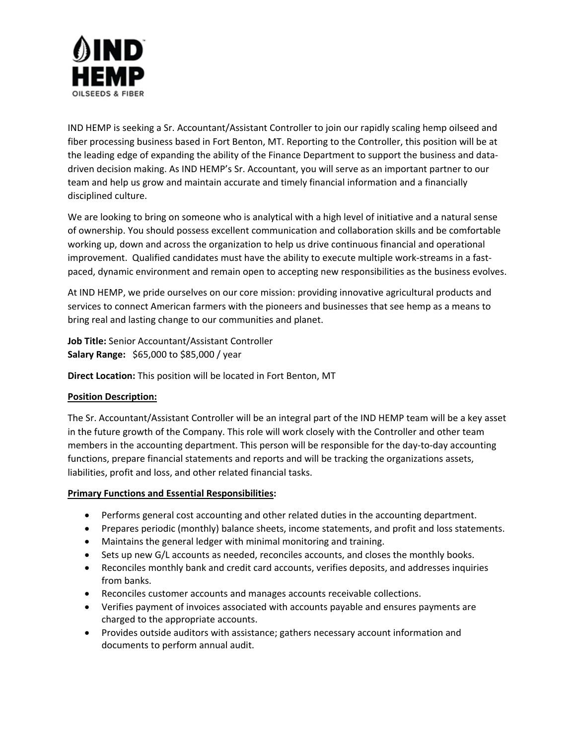

IND HEMP is seeking a Sr. Accountant/Assistant Controller to join our rapidly scaling hemp oilseed and fiber processing business based in Fort Benton, MT. Reporting to the Controller, this position will be at the leading edge of expanding the ability of the Finance Department to support the business and datadriven decision making. As IND HEMP's Sr. Accountant, you will serve as an important partner to our team and help us grow and maintain accurate and timely financial information and a financially disciplined culture.

We are looking to bring on someone who is analytical with a high level of initiative and a natural sense of ownership. You should possess excellent communication and collaboration skills and be comfortable working up, down and across the organization to help us drive continuous financial and operational improvement. Qualified candidates must have the ability to execute multiple work-streams in a fastpaced, dynamic environment and remain open to accepting new responsibilities as the business evolves.

At IND HEMP, we pride ourselves on our core mission: providing innovative agricultural products and services to connect American farmers with the pioneers and businesses that see hemp as a means to bring real and lasting change to our communities and planet.

**Job Title:** Senior Accountant/Assistant Controller **Salary Range:** \$65,000 to \$85,000 / year

**Direct Location:** This position will be located in Fort Benton, MT

## **Position Description:**

The Sr. Accountant/Assistant Controller will be an integral part of the IND HEMP team will be a key asset in the future growth of the Company. This role will work closely with the Controller and other team members in the accounting department. This person will be responsible for the day-to-day accounting functions, prepare financial statements and reports and will be tracking the organizations assets, liabilities, profit and loss, and other related financial tasks.

## **Primary Functions and Essential Responsibilities:**

- Performs general cost accounting and other related duties in the accounting department.
- Prepares periodic (monthly) balance sheets, income statements, and profit and loss statements.
- Maintains the general ledger with minimal monitoring and training.
- Sets up new G/L accounts as needed, reconciles accounts, and closes the monthly books.
- Reconciles monthly bank and credit card accounts, verifies deposits, and addresses inquiries from banks.
- Reconciles customer accounts and manages accounts receivable collections.
- Verifies payment of invoices associated with accounts payable and ensures payments are charged to the appropriate accounts.
- Provides outside auditors with assistance; gathers necessary account information and documents to perform annual audit.